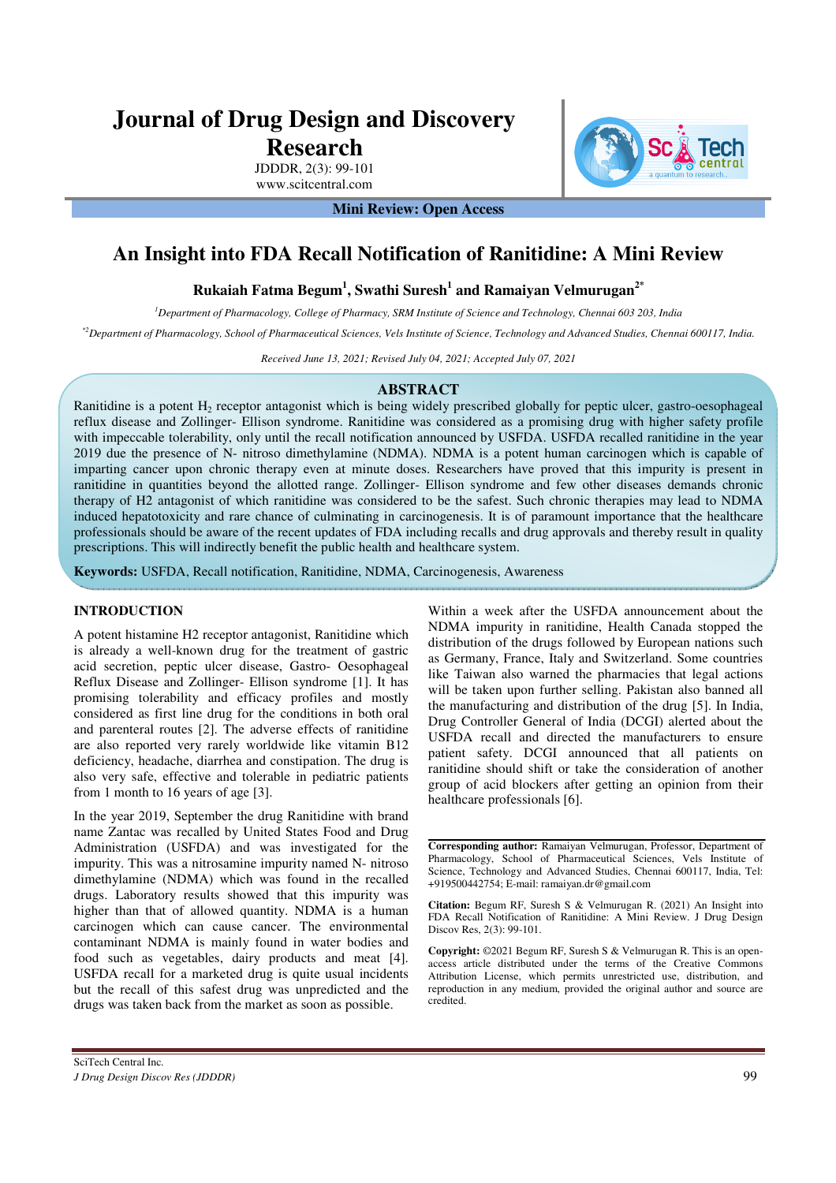# **Journal of Drug Design and Discovery Research**

JDDDR, 2(3): 99-101 www.scitcentral.com

**Mini Review: Open Access** 

# **An Insight into FDA Recall Notification of Ranitidine: A Mini Review**

## **Rukaiah Fatma Begum<sup>1</sup> , Swathi Suresh<sup>1</sup> and Ramaiyan Velmurugan2\***

*<sup>1</sup>Department of Pharmacology, College of Pharmacy, SRM Institute of Science and Technology, Chennai 603 203, India*

*\*2Department of Pharmacology, School of Pharmaceutical Sciences, Vels Institute of Science, Technology and Advanced Studies, Chennai 600117, India.* 

*Received June 13, 2021; Revised July 04, 2021; Accepted July 07, 2021* 

#### **ABSTRACT**

Ranitidine is a potent  $H_2$  receptor antagonist which is being widely prescribed globally for peptic ulcer, gastro-oesophageal reflux disease and Zollinger- Ellison syndrome. Ranitidine was considered as a promising drug with higher safety profile with impeccable tolerability, only until the recall notification announced by USFDA. USFDA recalled ranitidine in the year 2019 due the presence of N- nitroso dimethylamine (NDMA). NDMA is a potent human carcinogen which is capable of imparting cancer upon chronic therapy even at minute doses. Researchers have proved that this impurity is present in ranitidine in quantities beyond the allotted range. Zollinger- Ellison syndrome and few other diseases demands chronic therapy of H2 antagonist of which ranitidine was considered to be the safest. Such chronic therapies may lead to NDMA induced hepatotoxicity and rare chance of culminating in carcinogenesis. It is of paramount importance that the healthcare professionals should be aware of the recent updates of FDA including recalls and drug approvals and thereby result in quality prescriptions. This will indirectly benefit the public health and healthcare system.

**Keywords:** USFDA, Recall notification, Ranitidine, NDMA, Carcinogenesis, Awareness

#### **INTRODUCTION**

A potent histamine H2 receptor antagonist, Ranitidine which is already a well-known drug for the treatment of gastric acid secretion, peptic ulcer disease, Gastro- Oesophageal Reflux Disease and Zollinger- Ellison syndrome [1]. It has promising tolerability and efficacy profiles and mostly considered as first line drug for the conditions in both oral and parenteral routes [2]. The adverse effects of ranitidine are also reported very rarely worldwide like vitamin B12 deficiency, headache, diarrhea and constipation. The drug is also very safe, effective and tolerable in pediatric patients from 1 month to 16 years of age [3].

In the year 2019, September the drug Ranitidine with brand name Zantac was recalled by United States Food and Drug Administration (USFDA) and was investigated for the impurity. This was a nitrosamine impurity named N- nitroso dimethylamine (NDMA) which was found in the recalled drugs. Laboratory results showed that this impurity was higher than that of allowed quantity. NDMA is a human carcinogen which can cause cancer. The environmental contaminant NDMA is mainly found in water bodies and food such as vegetables, dairy products and meat [4]. USFDA recall for a marketed drug is quite usual incidents but the recall of this safest drug was unpredicted and the drugs was taken back from the market as soon as possible.

Within a week after the USFDA announcement about the NDMA impurity in ranitidine, Health Canada stopped the distribution of the drugs followed by European nations such as Germany, France, Italy and Switzerland. Some countries like Taiwan also warned the pharmacies that legal actions will be taken upon further selling. Pakistan also banned all the manufacturing and distribution of the drug [5]. In India, Drug Controller General of India (DCGI) alerted about the USFDA recall and directed the manufacturers to ensure patient safety. DCGI announced that all patients on ranitidine should shift or take the consideration of another group of acid blockers after getting an opinion from their healthcare professionals [6].

**Corresponding author:** Ramaiyan Velmurugan, Professor, Department of Pharmacology, School of Pharmaceutical Sciences, Vels Institute of Science, Technology and Advanced Studies, Chennai 600117, India, Tel: +919500442754; E-mail: ramaiyan.dr@gmail.com

**Citation:** Begum RF, Suresh S & Velmurugan R. (2021) An Insight into FDA Recall Notification of Ranitidine: A Mini Review. J Drug Design Discov Res, 2(3): 99-101.

**Copyright:** ©2021 Begum RF, Suresh S & Velmurugan R. This is an openaccess article distributed under the terms of the Creative Commons Attribution License, which permits unrestricted use, distribution, and reproduction in any medium, provided the original author and source are credited.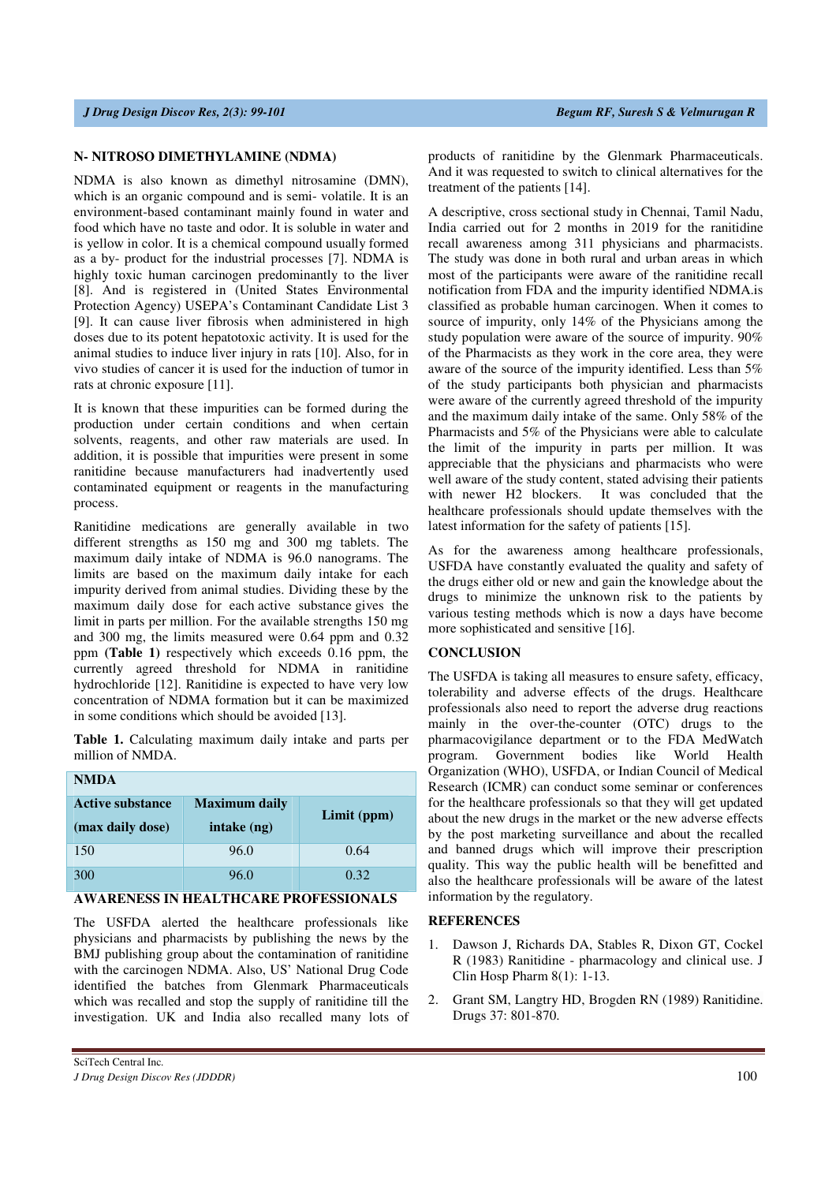#### **N- NITROSO DIMETHYLAMINE (NDMA)**

NDMA is also known as dimethyl nitrosamine (DMN), which is an organic compound and is semi- volatile. It is an environment-based contaminant mainly found in water and food which have no taste and odor. It is soluble in water and is yellow in color. It is a chemical compound usually formed as a by- product for the industrial processes [7]. NDMA is highly toxic human carcinogen predominantly to the liver [8]. And is registered in (United States Environmental Protection Agency) USEPA's Contaminant Candidate List 3 [9]. It can cause liver fibrosis when administered in high doses due to its potent hepatotoxic activity. It is used for the animal studies to induce liver injury in rats [10]. Also, for in vivo studies of cancer it is used for the induction of tumor in rats at chronic exposure [11].

It is known that these impurities can be formed during the production under certain conditions and when certain solvents, reagents, and other raw materials are used. In addition, it is possible that impurities were present in some ranitidine because manufacturers had inadvertently used contaminated equipment or reagents in the manufacturing process.

Ranitidine medications are generally available in two different strengths as 150 mg and 300 mg tablets. The maximum daily intake of NDMA is 96.0 nanograms. The limits are based on the maximum daily intake for each impurity derived from animal studies. Dividing these by the maximum daily dose for each active substance gives the limit in parts per million. For the available strengths 150 mg and 300 mg, the limits measured were 0.64 ppm and 0.32 ppm **(Table 1)** respectively which exceeds 0.16 ppm, the currently agreed threshold for NDMA in ranitidine hydrochloride [12]. Ranitidine is expected to have very low concentration of NDMA formation but it can be maximized in some conditions which should be avoided [13].

**Table 1.** Calculating maximum daily intake and parts per million of NMDA.

| <b>NMDA</b>                                 |                                     |             |
|---------------------------------------------|-------------------------------------|-------------|
| <b>Active substance</b><br>(max daily dose) | <b>Maximum daily</b><br>intake (ng) | Limit (ppm) |
| 150                                         | 96.0                                | 0.64        |
| 300                                         | 96.0                                | 0.32        |

### **AWARENESS IN HEALTHCARE PROFESSIONALS**

The USFDA alerted the healthcare professionals like physicians and pharmacists by publishing the news by the BMJ publishing group about the contamination of ranitidine with the carcinogen NDMA. Also, US' National Drug Code identified the batches from Glenmark Pharmaceuticals which was recalled and stop the supply of ranitidine till the investigation. UK and India also recalled many lots of

A descriptive, cross sectional study in Chennai, Tamil Nadu, India carried out for 2 months in 2019 for the ranitidine recall awareness among 311 physicians and pharmacists. The study was done in both rural and urban areas in which most of the participants were aware of the ranitidine recall notification from FDA and the impurity identified NDMA.is classified as probable human carcinogen. When it comes to source of impurity, only 14% of the Physicians among the study population were aware of the source of impurity. 90% of the Pharmacists as they work in the core area, they were aware of the source of the impurity identified. Less than 5% of the study participants both physician and pharmacists were aware of the currently agreed threshold of the impurity and the maximum daily intake of the same. Only 58% of the Pharmacists and 5% of the Physicians were able to calculate the limit of the impurity in parts per million. It was appreciable that the physicians and pharmacists who were well aware of the study content, stated advising their patients with newer H2 blockers. It was concluded that the healthcare professionals should update themselves with the latest information for the safety of patients [15].

As for the awareness among healthcare professionals, USFDA have constantly evaluated the quality and safety of the drugs either old or new and gain the knowledge about the drugs to minimize the unknown risk to the patients by various testing methods which is now a days have become more sophisticated and sensitive [16].

### **CONCLUSION**

The USFDA is taking all measures to ensure safety, efficacy, tolerability and adverse effects of the drugs. Healthcare professionals also need to report the adverse drug reactions mainly in the over-the-counter (OTC) drugs to the pharmacovigilance department or to the FDA MedWatch program. Government bodies like World Health Organization (WHO), USFDA, or Indian Council of Medical Research (ICMR) can conduct some seminar or conferences for the healthcare professionals so that they will get updated about the new drugs in the market or the new adverse effects by the post marketing surveillance and about the recalled and banned drugs which will improve their prescription quality. This way the public health will be benefitted and also the healthcare professionals will be aware of the latest information by the regulatory.

#### **REFERENCES**

- 1. Dawson J, Richards DA, Stables R, Dixon GT, Cockel R (1983) Ranitidine - pharmacology and clinical use. J Clin Hosp Pharm 8(1): 1-13.
- 2. Grant SM, Langtry HD, Brogden RN (1989) Ranitidine. Drugs 37: 801-870.